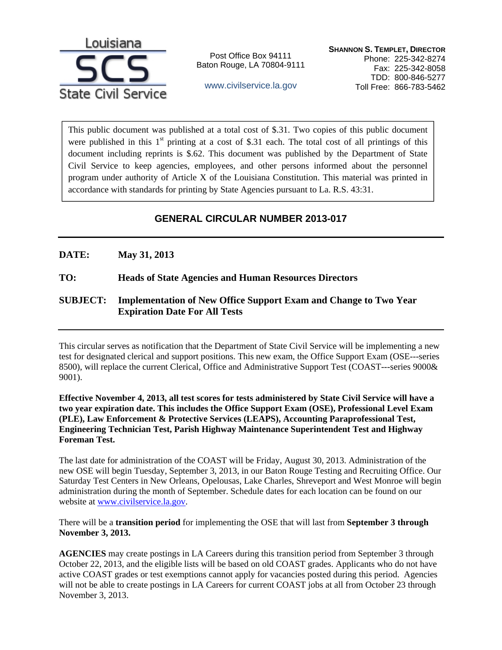

Post Office Box 94111 Baton Rouge, LA 70804-9111

www.civilservice.la.gov

This public document was published at a total cost of \$.31. Two copies of this public document were published in this  $1<sup>st</sup>$  printing at a cost of \$.31 each. The total cost of all printings of this document including reprints is \$.62. This document was published by the Department of State Civil Service to keep agencies, employees, and other persons informed about the personnel program under authority of Article X of the Louisiana Constitution. This material was printed in accordance with standards for printing by State Agencies pursuant to La. R.S. 43:31.

# **GENERAL CIRCULAR NUMBER 2013-017**

## **DATE: May 31, 2013**

### **TO: Heads of State Agencies and Human Resources Directors**

## **SUBJECT: Implementation of New Office Support Exam and Change to Two Year Expiration Date For All Tests**

This circular serves as notification that the Department of State Civil Service will be implementing a new test for designated clerical and support positions. This new exam, the Office Support Exam (OSE---series 8500), will replace the current Clerical, Office and Administrative Support Test (COAST---series 9000& 9001).

**Effective November 4, 2013, all test scores for tests administered by State Civil Service will have a two year expiration date. This includes the Office Support Exam (OSE), Professional Level Exam (PLE), Law Enforcement & Protective Services (LEAPS), Accounting Paraprofessional Test, Engineering Technician Test, Parish Highway Maintenance Superintendent Test and Highway Foreman Test.** 

The last date for administration of the COAST will be Friday, August 30, 2013. Administration of the new OSE will begin Tuesday, September 3, 2013, in our Baton Rouge Testing and Recruiting Office. Our Saturday Test Centers in New Orleans, Opelousas, Lake Charles, Shreveport and West Monroe will begin administration during the month of September. Schedule dates for each location can be found on our website at www.civilservice.la.gov.

There will be a **transition period** for implementing the OSE that will last from **September 3 through November 3, 2013.** 

**AGENCIES** may create postings in LA Careers during this transition period from September 3 through October 22, 2013, and the eligible lists will be based on old COAST grades. Applicants who do not have active COAST grades or test exemptions cannot apply for vacancies posted during this period. Agencies will not be able to create postings in LA Careers for current COAST jobs at all from October 23 through November 3, 2013.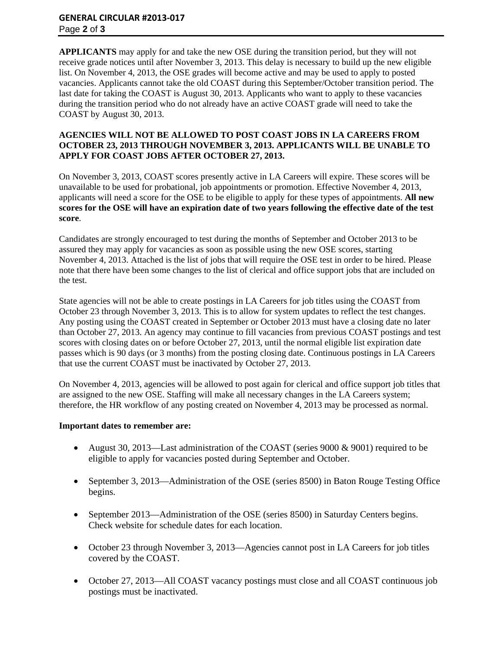#### **GENERAL CIRCULAR #2013‐017** Page **2** of **3**

**APPLICANTS** may apply for and take the new OSE during the transition period, but they will not receive grade notices until after November 3, 2013. This delay is necessary to build up the new eligible list. On November 4, 2013, the OSE grades will become active and may be used to apply to posted vacancies. Applicants cannot take the old COAST during this September/October transition period. The last date for taking the COAST is August 30, 2013. Applicants who want to apply to these vacancies during the transition period who do not already have an active COAST grade will need to take the COAST by August 30, 2013.

#### **AGENCIES WILL NOT BE ALLOWED TO POST COAST JOBS IN LA CAREERS FROM OCTOBER 23, 2013 THROUGH NOVEMBER 3, 2013. APPLICANTS WILL BE UNABLE TO APPLY FOR COAST JOBS AFTER OCTOBER 27, 2013.**

On November 3, 2013, COAST scores presently active in LA Careers will expire. These scores will be unavailable to be used for probational, job appointments or promotion. Effective November 4, 2013, applicants will need a score for the OSE to be eligible to apply for these types of appointments. **All new scores for the OSE will have an expiration date of two years following the effective date of the test score**.

Candidates are strongly encouraged to test during the months of September and October 2013 to be assured they may apply for vacancies as soon as possible using the new OSE scores, starting November 4, 2013. Attached is the list of jobs that will require the OSE test in order to be hired. Please note that there have been some changes to the list of clerical and office support jobs that are included on the test.

State agencies will not be able to create postings in LA Careers for job titles using the COAST from October 23 through November 3, 2013. This is to allow for system updates to reflect the test changes. Any posting using the COAST created in September or October 2013 must have a closing date no later than October 27, 2013. An agency may continue to fill vacancies from previous COAST postings and test scores with closing dates on or before October 27, 2013, until the normal eligible list expiration date passes which is 90 days (or 3 months) from the posting closing date. Continuous postings in LA Careers that use the current COAST must be inactivated by October 27, 2013.

On November 4, 2013, agencies will be allowed to post again for clerical and office support job titles that are assigned to the new OSE. Staffing will make all necessary changes in the LA Careers system; therefore, the HR workflow of any posting created on November 4, 2013 may be processed as normal.

#### **Important dates to remember are:**

- August 30, 2013—Last administration of the COAST (series 9000 & 9001) required to be eligible to apply for vacancies posted during September and October.
- September 3, 2013—Administration of the OSE (series 8500) in Baton Rouge Testing Office begins.
- September 2013—Administration of the OSE (series 8500) in Saturday Centers begins. Check website for schedule dates for each location.
- October 23 through November 3, 2013—Agencies cannot post in LA Careers for job titles covered by the COAST.
- October 27, 2013—All COAST vacancy postings must close and all COAST continuous job postings must be inactivated.